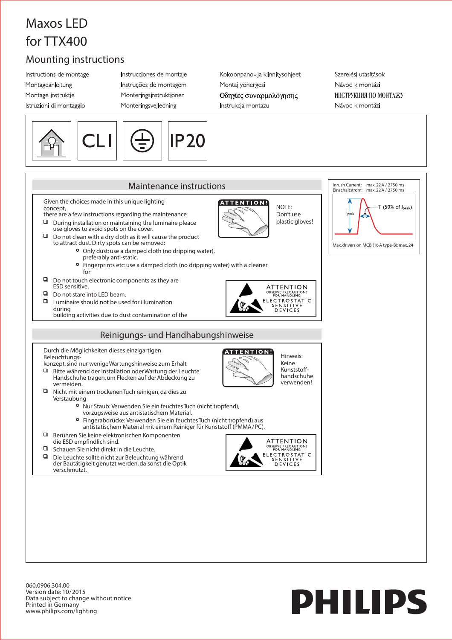## **Maxos LED for TTX400**

## **Mounting instructions**

Instructions de montage Montageanleitung Montage instruktie Istruzioni di montaggio

Instrucciones de montaje Instruções de montagem Monteringsinstruktioner Monteringsvejledning

Kokoonpano- ja kiinnitysohjeet Montaj yönergesi Οδηγίες συναρμολόγησης Instrukcja montazu

Szerelési utasítások Návod k montázi ИНСТРУКЦИЯ ПО МОНТАЖУ Návod k montázi



060.0906.304.00 Version date: 10/2015 Data subject to change without notice Printed in Germany www.philips.com/lighting

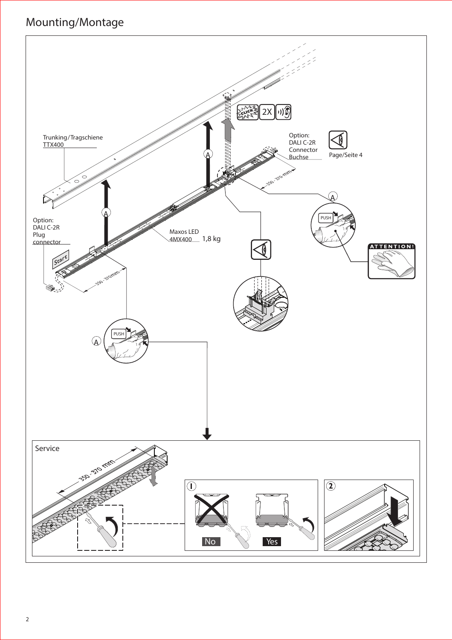## **Mounting/Montage**

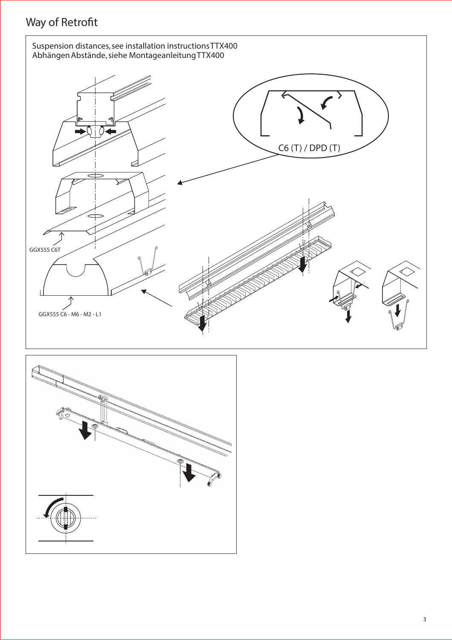## **Way of Retrofit**